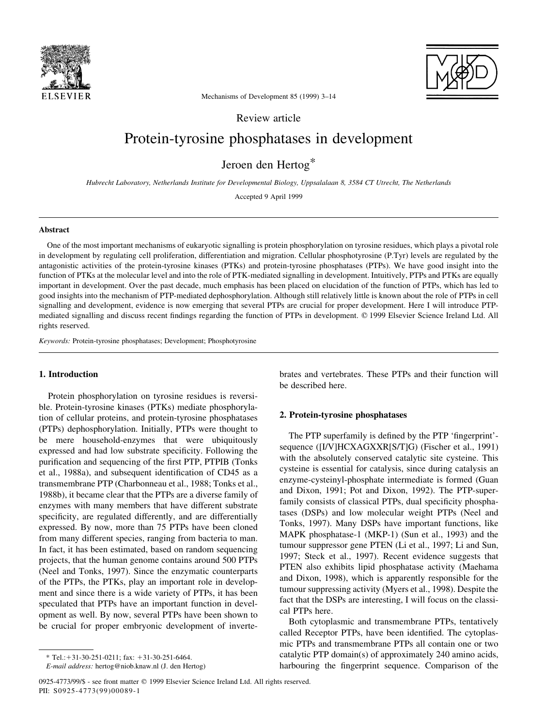



Mechanisms of Development 85 (1999) 3-14

Review article

# Protein-tyrosine phosphatases in development

Jeroen den Hertog\*

Hubrecht Laboratory, Netherlands Institute for Developmental Biology, Uppsalalaan 8, 3584 CT Utrecht, The Netherlands

Accepted 9 April 1999

# Abstract

One of the most important mechanisms of eukaryotic signalling is protein phosphorylation on tyrosine residues, which plays a pivotal role in development by regulating cell proliferation, differentiation and migration. Cellular phosphotyrosine (P.Tyr) levels are regulated by the antagonistic activities of the protein-tyrosine kinases (PTKs) and protein-tyrosine phosphatases (PTPs). We have good insight into the function of PTKs at the molecular level and into the role of PTK-mediated signalling in development. Intuitively, PTPs and PTKs are equally important in development. Over the past decade, much emphasis has been placed on elucidation of the function of PTPs, which has led to good insights into the mechanism of PTP-mediated dephosphorylation. Although still relatively little is known about the role of PTPs in cell signalling and development, evidence is now emerging that several PTPs are crucial for proper development. Here I will introduce PTPmediated signalling and discuss recent findings regarding the function of PTPs in development. © 1999 Elsevier Science Ireland Ltd. All rights reserved.

Keywords: Protein-tyrosine phosphatases; Development; Phosphotyrosine

# 1. Introduction

Protein phosphorylation on tyrosine residues is reversible. Protein-tyrosine kinases (PTKs) mediate phosphorylation of cellular proteins, and protein-tyrosine phosphatases (PTPs) dephosphorylation. Initially, PTPs were thought to be mere household-enzymes that were ubiquitously expressed and had low substrate specificity. Following the purification and sequencing of the first PTP, PTPIB (Tonks et al., 1988a), and subsequent identification of CD45 as a transmembrane PTP (Charbonneau et al., 1988; Tonks et al., 1988b), it became clear that the PTPs are a diverse family of enzymes with many members that have different substrate specificity, are regulated differently, and are differentially expressed. By now, more than 75 PTPs have been cloned from many different species, ranging from bacteria to man. In fact, it has been estimated, based on random sequencing projects, that the human genome contains around 500 PTPs (Neel and Tonks, 1997). Since the enzymatic counterparts of the PTPs, the PTKs, play an important role in development and since there is a wide variety of PTPs, it has been speculated that PTPs have an important function in development as well. By now, several PTPs have been shown to be crucial for proper embryonic development of invertebrates and vertebrates. These PTPs and their function will be described here.

## 2. Protein-tyrosine phosphatases

The PTP superfamily is defined by the PTP 'fingerprint'sequence ([I/V]HCXAGXXR[S/T]G) (Fischer et al., 1991) with the absolutely conserved catalytic site cysteine. This cysteine is essential for catalysis, since during catalysis an enzyme-cysteinyl-phosphate intermediate is formed (Guan and Dixon, 1991; Pot and Dixon, 1992). The PTP-superfamily consists of classical PTPs, dual specificity phosphatases (DSPs) and low molecular weight PTPs (Neel and Tonks, 1997). Many DSPs have important functions, like MAPK phosphatase-1 (MKP-1) (Sun et al., 1993) and the tumour suppressor gene PTEN (Li et al., 1997; Li and Sun, 1997; Steck et al., 1997). Recent evidence suggests that PTEN also exhibits lipid phosphatase activity (Maehama and Dixon, 1998), which is apparently responsible for the tumour suppressing activity (Myers et al., 1998). Despite the fact that the DSPs are interesting, I will focus on the classical PTPs here.

Both cytoplasmic and transmembrane PTPs, tentatively called Receptor PTPs, have been identified. The cytoplasmic PTPs and transmembrane PTPs all contain one or two catalytic PTP domain(s) of approximately 240 amino acids, harbouring the fingerprint sequence. Comparison of the

 $*$  Tel.:+31-30-251-0211; fax: +31-30-251-6464.

E-mail address: hertog@niob.knaw.nl (J. den Hertog)

<sup>0925-4773/99/\$ -</sup> see front matter © 1999 Elsevier Science Ireland Ltd. All rights reserved. PII: S0925-4773(99)00089-1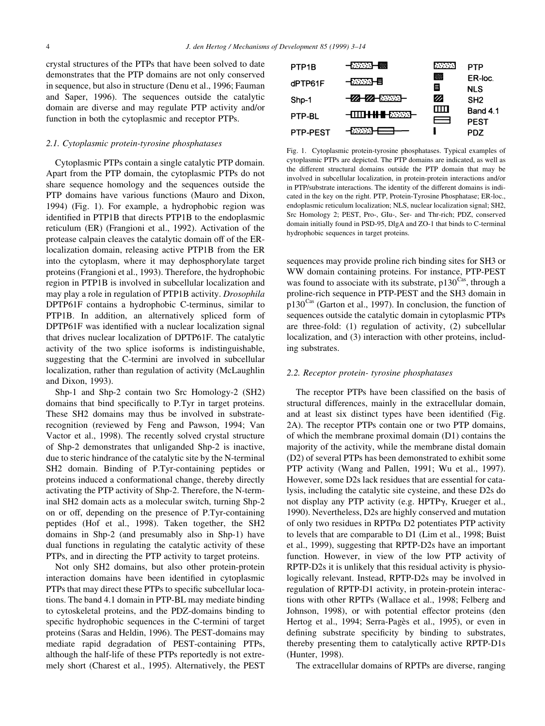crystal structures of the PTPs that have been solved to date demonstrates that the PTP domains are not only conserved in sequence, but also in structure (Denu et al., 1996; Fauman and Saper, 1996). The sequences outside the catalytic domain are diverse and may regulate PTP activity and/or function in both the cytoplasmic and receptor PTPs.

#### 2.1. Cytoplasmic protein-tyrosine phosphatases

Cytoplasmic PTPs contain a single catalytic PTP domain. Apart from the PTP domain, the cytoplasmic PTPs do not share sequence homology and the sequences outside the PTP domains have various functions (Mauro and Dixon, 1994) (Fig. 1). For example, a hydrophobic region was identified in PTP1B that directs PTP1B to the endoplasmic reticulum (ER) (Frangioni et al., 1992). Activation of the protease calpain cleaves the catalytic domain off of the ERlocalization domain, releasing active PTP1B from the ER into the cytoplasm, where it may dephosphorylate target proteins (Frangioni et al., 1993). Therefore, the hydrophobic region in PTP1B is involved in subcellular localization and may play a role in regulation of PTP1B activity. Drosophila DPTP61F contains a hydrophobic C-terminus, similar to PTP1B. In addition, an alternatively spliced form of DPTP61F was identified with a nuclear localization signal that drives nuclear localization of DPTP61F. The catalytic activity of the two splice isoforms is indistinguishable, suggesting that the C-termini are involved in subcellular localization, rather than regulation of activity (McLaughlin and Dixon, 1993).

Shp-1 and Shp-2 contain two Src Homology-2 (SH2) domains that bind specifically to P.Tyr in target proteins. These SH2 domains may thus be involved in substraterecognition (reviewed by Feng and Pawson, 1994; Van Vactor et al., 1998). The recently solved crystal structure of Shp-2 demonstrates that unliganded Shp-2 is inactive, due to steric hindrance of the catalytic site by the N-terminal SH2 domain. Binding of P.Tyr-containing peptides or proteins induced a conformational change, thereby directly activating the PTP activity of Shp-2. Therefore, the N-terminal SH2 domain acts as a molecular switch, turning Shp-2 on or off, depending on the presence of P.Tyr-containing peptides (Hof et al., 1998). Taken together, the SH2 domains in Shp-2 (and presumably also in Shp-1) have dual functions in regulating the catalytic activity of these PTPs, and in directing the PTP activity to target proteins.

Not only SH2 domains, but also other protein-protein interaction domains have been identified in cytoplasmic PTPs that may direct these PTPs to specific subcellular locations. The band 4.1 domain in PTP-BL may mediate binding to cytoskeletal proteins, and the PDZ-domains binding to specific hydrophobic sequences in the C-termini of target proteins (Saras and Heldin, 1996). The PEST-domains may mediate rapid degradation of PEST-containing PTPs, although the half-life of these PTPs reportedly is not extremely short (Charest et al., 1995). Alternatively, the PEST



Fig. 1. Cytoplasmic protein-tyrosine phosphatases. Typical examples of cytoplasmic PTPs are depicted. The PTP domains are indicated, as well as the different structural domains outside the PTP domain that may be involved in subcellular localization, in protein-protein interactions and/or in PTP/substrate interactions. The identity of the different domains is indicated in the key on the right. PTP, Protein-Tyrosine Phosphatase; ER-loc., endoplasmic reticulum localization; NLS, nuclear localization signal; SH2, Src Homology 2; PEST, Pro-, GIu-, Ser- and Thr-rich; PDZ, conserved domain initially found in PSD-95, DlgA and ZO-1 that binds to C-terminal hydrophobic sequences in target proteins.

sequences may provide proline rich binding sites for SH3 or WW domain containing proteins. For instance, PTP-PEST was found to associate with its substrate,  $p130^{\text{Cas}}$ , through a proline-rich sequence in PTP-PEST and the SH3 domain in p130Cas (Garton et al., 1997). In conclusion, the function of sequences outside the catalytic domain in cytoplasmic PTPs are three-fold: (1) regulation of activity, (2) subcellular localization, and (3) interaction with other proteins, including substrates.

# 2.2. Receptor protein- tyrosine phosphatases

The receptor PTPs have been classified on the basis of structural differences, mainly in the extracellular domain, and at least six distinct types have been identified (Fig. 2A). The receptor PTPs contain one or two PTP domains, of which the membrane proximal domain (D1) contains the majority of the activity, while the membrane distal domain (D2) of several PTPs has been demonstrated to exhibit some PTP activity (Wang and Pallen, 1991; Wu et al., 1997). However, some D2s lack residues that are essential for catalysis, including the catalytic site cysteine, and these D2s do not display any PTP activity (e.g. HPTPγ, Krueger et al., 1990). Nevertheless, D2s are highly conserved and mutation of only two residues in RPTP $\alpha$  D2 potentiates PTP activity to levels that are comparable to D1 (Lim et al., 1998; Buist et al., 1999), suggesting that RPTP-D2s have an important function. However, in view of the low PTP activity of RPTP-D2s it is unlikely that this residual activity is physiologically relevant. Instead, RPTP-D2s may be involved in regulation of RPTP-D1 activity, in protein-protein interactions with other RPTPs (Wallace et al., 1998; Felberg and Johnson, 1998), or with potential effector proteins (den Hertog et al., 1994; Serra-Pagès et al., 1995), or even in defining substrate specificity by binding to substrates, thereby presenting them to catalytically active RPTP-D1s (Hunter, 1998).

The extracellular domains of RPTPs are diverse, ranging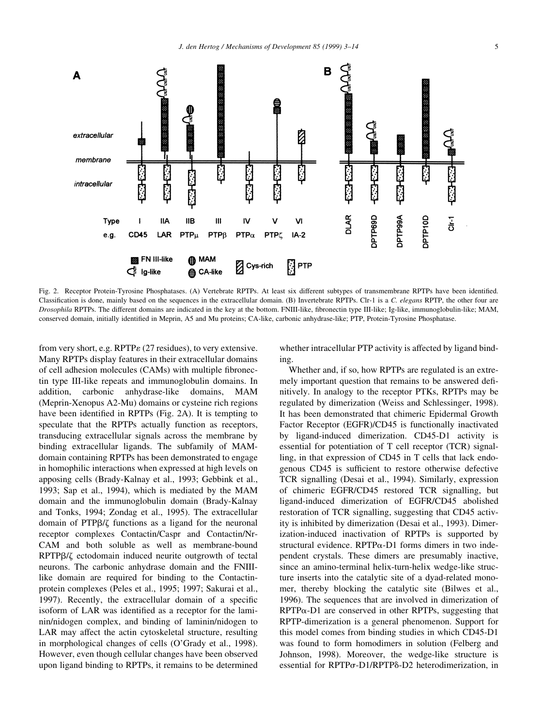

Fig. 2. Receptor Protein-Tyrosine Phosphatases. (A) Vertebrate RPTPs. At least six different subtypes of transmembrane RPTPs have been identified. Classification is done, mainly based on the sequences in the extracellular domain. (B) Invertebrate RPTPs. Clr-1 is a C. elegans RPTP, the other four are Drosophila RPTPs. The different domains are indicated in the key at the bottom. FNIII-like, fibronectin type III-like; Ig-like, immunoglobulin-like; MAM, conserved domain, initially identified in Meprin, A5 and Mu proteins; CA-like, carbonic anhydrase-like; PTP, Protein-Tyrosine Phosphatase.

from very short, e.g. RPTP $\epsilon$  (27 residues), to very extensive. Many RPTPs display features in their extracellular domains of cell adhesion molecules (CAMs) with multiple fibronectin type III-like repeats and immunoglobulin domains. In addition, carbonic anhydrase-like domains, MAM (Meprin-Xenopus A2-Mu) domains or cysteine rich regions have been identified in RPTPs (Fig. 2A). It is tempting to speculate that the RPTPs actually function as receptors, transducing extracellular signals across the membrane by binding extracellular ligands. The subfamily of MAMdomain containing RPTPs has been demonstrated to engage in homophilic interactions when expressed at high levels on apposing cells (Brady-Kalnay et al., 1993; Gebbink et al., 1993; Sap et al., 1994), which is mediated by the MAM domain and the immunoglobulin domain (Brady-Kalnay and Tonks, 1994; Zondag et al., 1995). The extracellular domain of PTPb/z functions as a ligand for the neuronal receptor complexes Contactin/Caspr and Contactin/Nr-CAM and both soluble as well as membrane-bound RPTP $\beta$ / $\zeta$  ectodomain induced neurite outgrowth of tectal neurons. The carbonic anhydrase domain and the FNIIIlike domain are required for binding to the Contactinprotein complexes (Peles et al., 1995; 1997; Sakurai et al., 1997). Recently, the extracellular domain of a specific isoform of LAR was identified as a receptor for the laminin/nidogen complex, and binding of laminin/nidogen to LAR may affect the actin cytoskeletal structure, resulting in morphological changes of cells (O'Grady et al., 1998). However, even though cellular changes have been observed upon ligand binding to RPTPs, it remains to be determined

whether intracellular PTP activity is affected by ligand binding.

Whether and, if so, how RPTPs are regulated is an extremely important question that remains to be answered definitively. In analogy to the receptor PTKs, RPTPs may be regulated by dimerization (Weiss and Schlessinger, 1998). It has been demonstrated that chimeric Epidermal Growth Factor Receptor (EGFR)/CD45 is functionally inactivated by ligand-induced dimerization. CD45-D1 activity is essential for potentiation of T cell receptor (TCR) signalling, in that expression of CD45 in T cells that lack endogenous CD45 is sufficient to restore otherwise defective TCR signalling (Desai et al., 1994). Similarly, expression of chimeric EGFR/CD45 restored TCR signalling, but ligand-induced dimerization of EGFR/CD45 abolished restoration of TCR signalling, suggesting that CD45 activity is inhibited by dimerization (Desai et al., 1993). Dimerization-induced inactivation of RPTPs is supported by structural evidence. RPTP $\alpha$ -D1 forms dimers in two independent crystals. These dimers are presumably inactive, since an amino-terminal helix-turn-helix wedge-like structure inserts into the catalytic site of a dyad-related monomer, thereby blocking the catalytic site (Bilwes et al., 1996). The sequences that are involved in dimerization of  $RPTP\alpha-D1$  are conserved in other RPTPs, suggesting that RPTP-dimerization is a general phenomenon. Support for this model comes from binding studies in which CD45-D1 was found to form homodimers in solution (Felberg and Johnson, 1998). Moreover, the wedge-like structure is essential for RPTPσ-D1/RPTPδ-D2 heterodimerization, in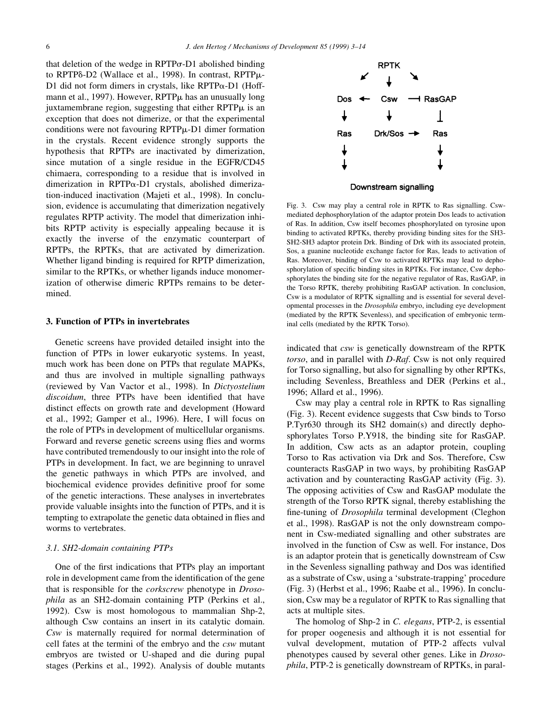that deletion of the wedge in  $RPTP\sigma-D1$  abolished binding to RPTP<sub>6</sub>-D<sub>2</sub> (Wallace et al., 1998). In contrast, RPTP<sub>µ</sub>-D1 did not form dimers in crystals, like  $RPTP\alpha-D1$  (Hoffmann et al., 1997). However,  $RPTP\mu$  has an unusually long juxtamembrane region, suggesting that either  $RPTP\mu$  is an exception that does not dimerize, or that the experimental conditions were not favouring  $RPTP\mu$ -D1 dimer formation in the crystals. Recent evidence strongly supports the hypothesis that RPTPs are inactivated by dimerization, since mutation of a single residue in the EGFR/CD45 chimaera, corresponding to a residue that is involved in dimerization in RPTPa-D1 crystals, abolished dimerization-induced inactivation (Majeti et al., 1998). In conclusion, evidence is accumulating that dimerization negatively regulates RPTP activity. The model that dimerization inhibits RPTP activity is especially appealing because it is exactly the inverse of the enzymatic counterpart of RPTPs, the RPTKs, that are activated by dimerization. Whether ligand binding is required for RPTP dimerization, similar to the RPTKs, or whether ligands induce monomerization of otherwise dimeric RPTPs remains to be determined.

#### 3. Function of PTPs in invertebrates

Genetic screens have provided detailed insight into the function of PTPs in lower eukaryotic systems. In yeast, much work has been done on PTPs that regulate MAPKs, and thus are involved in multiple signalling pathways (reviewed by Van Vactor et al., 1998). In Dictyostelium discoidum, three PTPs have been identified that have distinct effects on growth rate and development (Howard et al., 1992; Gamper et al., 1996). Here, I will focus on the role of PTPs in development of multicellular organisms. Forward and reverse genetic screens using flies and worms have contributed tremendously to our insight into the role of PTPs in development. In fact, we are beginning to unravel the genetic pathways in which PTPs are involved, and biochemical evidence provides definitive proof for some of the genetic interactions. These analyses in invertebrates provide valuable insights into the function of PTPs, and it is tempting to extrapolate the genetic data obtained in flies and worms to vertebrates.

# 3.1. SH2-domain containing PTPs

One of the first indications that PTPs play an important role in development came from the identification of the gene that is responsible for the corkscrew phenotype in Drosophila as an SH2-domain containing PTP (Perkins et al., 1992). Csw is most homologous to mammalian Shp-2, although Csw contains an insert in its catalytic domain. Csw is maternally required for normal determination of cell fates at the termini of the embryo and the csw mutant embryos are twisted or U-shaped and die during pupal stages (Perkins et al., 1992). Analysis of double mutants



Downstream signalling

Fig. 3. Csw may play a central role in RPTK to Ras signalling. Cswmediated dephosphorylation of the adaptor protein Dos leads to activation of Ras. In addition, Csw itself becomes phosphorylated on tyrosine upon binding to activated RPTKs, thereby providing binding sites for the SH3- SH2-SH3 adaptor protein Drk. Binding of Drk with its associated protein, Sos, a guanine nucleotide exchange factor for Ras, leads to activation of Ras. Moreover, binding of Csw to activated RPTKs may lead to dephosphorylation of specific binding sites in RPTKs. For instance, Csw dephosphorylates the binding site for the negative regulator of Ras, RasGAP, in the Torso RPTK, thereby prohibiting RasGAP activation. In conclusion, Csw is a modulator of RPTK signalling and is essential for several developmental processes in the Drosophila embryo, including eye development (mediated by the RPTK Sevenless), and specification of embryonic terminal cells (mediated by the RPTK Torso).

indicated that csw is genetically downstream of the RPTK torso, and in parallel with D-Raf. Csw is not only required for Torso signalling, but also for signalling by other RPTKs, including Sevenless, Breathless and DER (Perkins et al., 1996; Allard et al., 1996).

Csw may play a central role in RPTK to Ras signalling (Fig. 3). Recent evidence suggests that Csw binds to Torso P.Tyr630 through its SH2 domain(s) and directly dephosphorylates Torso P.Y918, the binding site for RasGAP. In addition, Csw acts as an adaptor protein, coupling Torso to Ras activation via Drk and Sos. Therefore, Csw counteracts RasGAP in two ways, by prohibiting RasGAP activation and by counteracting RasGAP activity (Fig. 3). The opposing activities of Csw and RasGAP modulate the strength of the Torso RPTK signal, thereby establishing the fine-tuning of *Drosophila* terminal development (Cleghon et al., 1998). RasGAP is not the only downstream component in Csw-mediated signalling and other substrates are involved in the function of Csw as well. For instance, Dos is an adaptor protein that is genetically downstream of Csw in the Sevenless signalling pathway and Dos was identified as a substrate of Csw, using a `substrate-trapping' procedure (Fig. 3) (Herbst et al., 1996; Raabe et al., 1996). In conclusion, Csw may be a regulator of RPTK to Ras signalling that acts at multiple sites.

The homolog of Shp-2 in C. elegans, PTP-2, is essential for proper oogenesis and although it is not essential for vulval development, mutation of PTP-2 affects vulval phenotypes caused by several other genes. Like in Drosophila, PTP-2 is genetically downstream of RPTKs, in paral-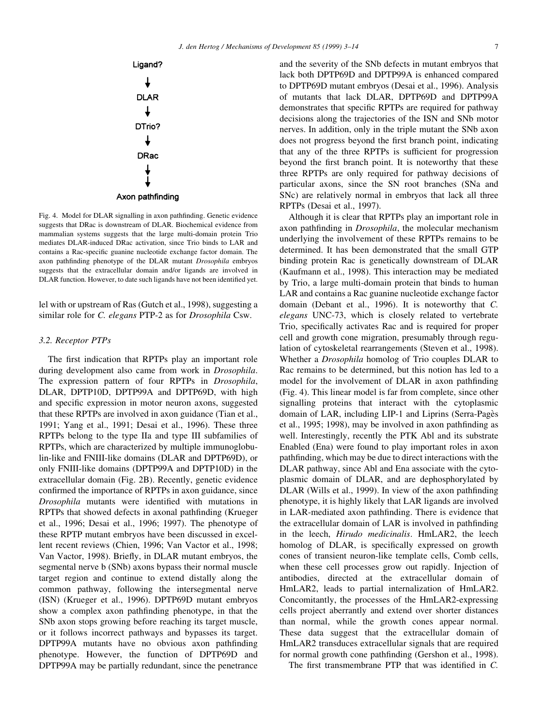

Fig. 4. Model for DLAR signalling in axon pathfinding. Genetic evidence suggests that DRac is downstream of DLAR. Biochemical evidence from mammalian systems suggests that the large multi-domain protein Trio mediates DLAR-induced DRac activation, since Trio binds to LAR and contains a Rac-specific guanine nucleotide exchange factor domain. The axon pathfinding phenotype of the DLAR mutant Drosophila embryos suggests that the extracellular domain and/or ligands are involved in DLAR function. However, to date such ligands have not been identified yet.

lel with or upstream of Ras (Gutch et al., 1998), suggesting a similar role for C. elegans PTP-2 as for Drosophila Csw.

#### 3.2. Receptor PTPs

The first indication that RPTPs play an important role during development also came from work in Drosophila. The expression pattern of four RPTPs in Drosophila, DLAR, DPTP10D, DPTP99A and DPTP69D, with high and specific expression in motor neuron axons, suggested that these RPTPs are involved in axon guidance (Tian et al., 1991; Yang et al., 1991; Desai et al., 1996). These three RPTPs belong to the type IIa and type III subfamilies of RPTPs, which are characterized by multiple immunoglobulin-like and FNIII-like domains (DLAR and DPTP69D), or only FNIII-like domains (DPTP99A and DPTP10D) in the extracellular domain (Fig. 2B). Recently, genetic evidence confirmed the importance of RPTPs in axon guidance, since Drosophila mutants were identified with mutations in RPTPs that showed defects in axonal pathfinding (Krueger) et al., 1996; Desai et al., 1996; 1997). The phenotype of these RPTP mutant embryos have been discussed in excellent recent reviews (Chien, 1996; Van Vactor et al., 1998; Van Vactor, 1998). Briefly, in DLAR mutant embryos, the segmental nerve b (SNb) axons bypass their normal muscle target region and continue to extend distally along the common pathway, following the intersegmental nerve (ISN) (Krueger et al., 1996). DPTP69D mutant embryos show a complex axon path finding phenotype, in that the SNb axon stops growing before reaching its target muscle, or it follows incorrect pathways and bypasses its target. DPTP99A mutants have no obvious axon pathfinding phenotype. However, the function of DPTP69D and DPTP99A may be partially redundant, since the penetrance

and the severity of the SNb defects in mutant embryos that lack both DPTP69D and DPTP99A is enhanced compared to DPTP69D mutant embryos (Desai et al., 1996). Analysis of mutants that lack DLAR, DPTP69D and DPTP99A demonstrates that specific RPTPs are required for pathway decisions along the trajectories of the ISN and SNb motor nerves. In addition, only in the triple mutant the SNb axon does not progress beyond the first branch point, indicating that any of the three RPTPs is sufficient for progression beyond the first branch point. It is noteworthy that these three RPTPs are only required for pathway decisions of particular axons, since the SN root branches (SNa and SNc) are relatively normal in embryos that lack all three RPTPs (Desai et al., 1997).

Although it is clear that RPTPs play an important role in axon pathfinding in *Drosophila*, the molecular mechanism underlying the involvement of these RPTPs remains to be determined. It has been demonstrated that the small GTP binding protein Rac is genetically downstream of DLAR (Kaufmann et al., 1998). This interaction may be mediated by Trio, a large multi-domain protein that binds to human LAR and contains a Rac guanine nucleotide exchange factor domain (Debant et al., 1996). It is noteworthy that C. elegans UNC-73, which is closely related to vertebrate Trio, specifically activates Rac and is required for proper cell and growth cone migration, presumably through regulation of cytoskeletal rearrangements (Steven et al., 1998). Whether a Drosophila homolog of Trio couples DLAR to Rac remains to be determined, but this notion has led to a model for the involvement of DLAR in axon pathfinding (Fig. 4). This linear model is far from complete, since other signalling proteins that interact with the cytoplasmic domain of LAR, including LIP-1 and Liprins (Serra-Pages et al., 1995; 1998), may be involved in axon path finding as well. Interestingly, recently the PTK Abl and its substrate Enabled (Ena) were found to play important roles in axon pathfinding, which may be due to direct interactions with the DLAR pathway, since Abl and Ena associate with the cytoplasmic domain of DLAR, and are dephosphorylated by DLAR (Wills et al., 1999). In view of the axon path finding phenotype, it is highly likely that LAR ligands are involved in LAR-mediated axon path finding. There is evidence that the extracellular domain of LAR is involved in pathfinding in the leech, Hirudo medicinalis. HmLAR2, the leech homolog of DLAR, is specifically expressed on growth cones of transient neuron-like template cells, Comb cells, when these cell processes grow out rapidly. Injection of antibodies, directed at the extracellular domain of HmLAR2, leads to partial internalization of HmLAR2. Concomitantly, the processes of the HmLAR2-expressing cells project aberrantly and extend over shorter distances than normal, while the growth cones appear normal. These data suggest that the extracellular domain of HmLAR2 transduces extracellular signals that are required for normal growth cone pathfinding (Gershon et al., 1998).

The first transmembrane PTP that was identified in  $C$ .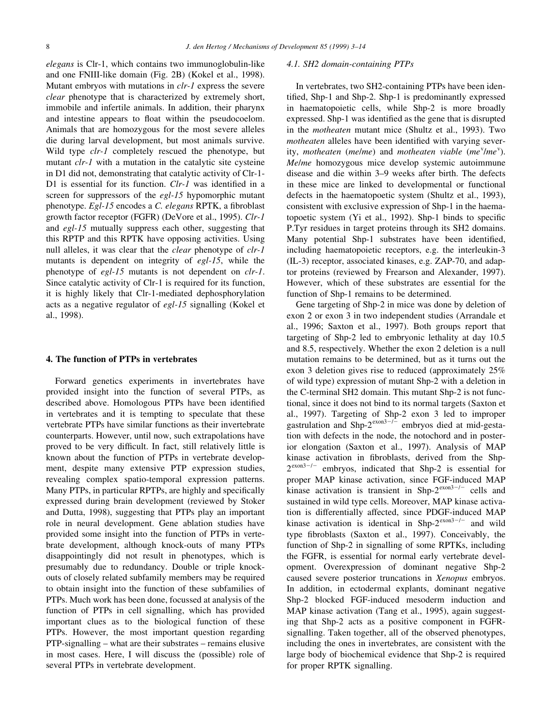elegans is Clr-1, which contains two immunoglobulin-like and one FNIII-like domain (Fig. 2B) (Kokel et al., 1998). Mutant embryos with mutations in clr-1 express the severe clear phenotype that is characterized by extremely short, immobile and infertile animals. In addition, their pharynx and intestine appears to float within the pseudocoelom. Animals that are homozygous for the most severe alleles die during larval development, but most animals survive. Wild type *clr-1* completely rescued the phenotype, but mutant *clr-1* with a mutation in the catalytic site cysteine in D1 did not, demonstrating that catalytic activity of Clr-1- D1 is essential for its function.  $Clr-1$  was identified in a screen for suppressors of the egl-15 hypomorphic mutant phenotype. Egl-15 encodes a C. elegans RPTK, a fibroblast growth factor receptor (FGFR) (DeVore et al., 1995). Clr-1 and egl-15 mutually suppress each other, suggesting that this RPTP and this RPTK have opposing activities. Using null alleles, it was clear that the clear phenotype of clr-1 mutants is dependent on integrity of egl-15, while the phenotype of egl-15 mutants is not dependent on clr-1. Since catalytic activity of Clr-1 is required for its function, it is highly likely that Clr-1-mediated dephosphorylation acts as a negative regulator of egl-15 signalling (Kokel et al., 1998).

## 4. The function of PTPs in vertebrates

Forward genetics experiments in invertebrates have provided insight into the function of several PTPs, as described above. Homologous PTPs have been identified in vertebrates and it is tempting to speculate that these vertebrate PTPs have similar functions as their invertebrate counterparts. However, until now, such extrapolations have proved to be very difficult. In fact, still relatively little is known about the function of PTPs in vertebrate development, despite many extensive PTP expression studies, revealing complex spatio-temporal expression patterns. Many PTPs, in particular RPTPs, are highly and specifically expressed during brain development (reviewed by Stoker and Dutta, 1998), suggesting that PTPs play an important role in neural development. Gene ablation studies have provided some insight into the function of PTPs in vertebrate development, although knock-outs of many PTPs disappointingly did not result in phenotypes, which is presumably due to redundancy. Double or triple knockouts of closely related subfamily members may be required to obtain insight into the function of these subfamilies of PTPs. Much work has been done, focussed at analysis of the function of PTPs in cell signalling, which has provided important clues as to the biological function of these PTPs. However, the most important question regarding  $PTP$ -signalling  $-$  what are their substrates  $-$  remains elusive in most cases. Here, I will discuss the (possible) role of several PTPs in vertebrate development.

# 4.1. SH2 domain-containing PTPs

In vertebrates, two SH2-containing PTPs have been identified, Shp-1 and Shp-2. Shp-1 is predominantly expressed in haematopoietic cells, while Shp-2 is more broadly expressed. Shp-1 was identified as the gene that is disrupted in the motheaten mutant mice (Shultz et al., 1993). Two motheaten alleles have been identified with varying severity, motheaten (me/me) and motheaten viable (me $\degree$ /me $\degree$ ). Me/me homozygous mice develop systemic autoimmune disease and die within 3-9 weeks after birth. The defects in these mice are linked to developmental or functional defects in the haematopoetic system (Shultz et al., 1993), consistent with exclusive expression of Shp-1 in the haematopoetic system  $(Y<sub>i</sub>$  et al., 1992). Shp-1 binds to specific P.Tyr residues in target proteins through its SH2 domains. Many potential Shp-1 substrates have been identified, including haematopoietic receptors, e.g. the interleukin-3 (IL-3) receptor, associated kinases, e.g. ZAP-70, and adaptor proteins (reviewed by Frearson and Alexander, 1997). However, which of these substrates are essential for the function of Shp-1 remains to be determined.

Gene targeting of Shp-2 in mice was done by deletion of exon 2 or exon 3 in two independent studies (Arrandale et al., 1996; Saxton et al., 1997). Both groups report that targeting of Shp-2 led to embryonic lethality at day 10.5 and 8.5, respectively. Whether the exon 2 deletion is a null mutation remains to be determined, but as it turns out the exon 3 deletion gives rise to reduced (approximately 25% of wild type) expression of mutant Shp-2 with a deletion in the C-terminal SH2 domain. This mutant Shp-2 is not functional, since it does not bind to its normal targets (Saxton et al., 1997). Targeting of Shp-2 exon 3 led to improper gastrulation and Shp- $2^{\text{exon}3-j}$  embryos died at mid-gestation with defects in the node, the notochord and in posterior elongation (Saxton et al., 1997). Analysis of MAP kinase activation in fibroblasts, derived from the Shp- $2^{\text{exon}3-/-}$  embryos, indicated that Shp-2 is essential for proper MAP kinase activation, since FGF-induced MAP kinase activation is transient in Shp- $2^{exon3-/-}$  cells and sustained in wild type cells. Moreover, MAP kinase activation is differentially affected, since PDGF-induced MAP kinase activation is identical in Shp- $2^{exon3-/-}$  and wild type fibroblasts (Saxton et al., 1997). Conceivably, the function of Shp-2 in signalling of some RPTKs, including the FGFR, is essential for normal early vertebrate development. Overexpression of dominant negative Shp-2 caused severe posterior truncations in Xenopus embryos. In addition, in ectodermal explants, dominant negative Shp-2 blocked FGF-induced mesoderm induction and MAP kinase activation (Tang et al., 1995), again suggesting that Shp-2 acts as a positive component in FGFRsignalling. Taken together, all of the observed phenotypes, including the ones in invertebrates, are consistent with the large body of biochemical evidence that Shp-2 is required for proper RPTK signalling.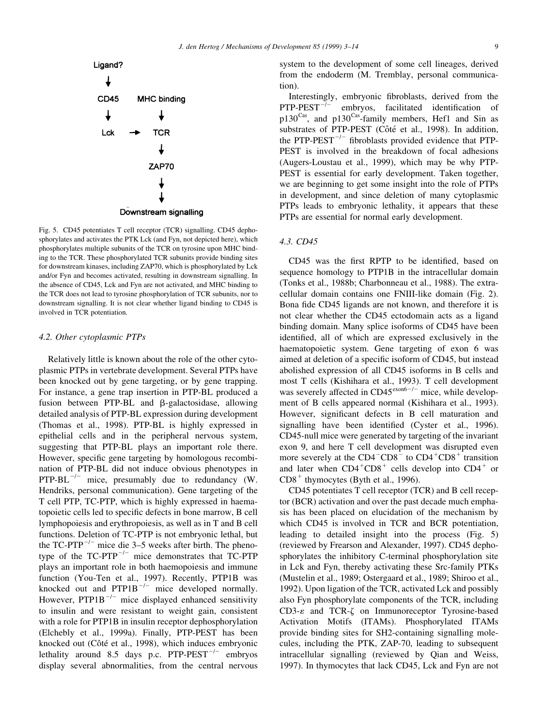

Fig. 5. CD45 potentiates T cell receptor (TCR) signalling. CD45 dephosphorylates and activates the PTK Lck (and Fyn, not depicted here), which phosphorylates multiple subunits of the TCR on tyrosine upon MHC binding to the TCR. These phosphorylated TCR subunits provide binding sites for downstream kinases, including ZAP70, which is phosphorylated by Lck and/or Fyn and becomes activated, resulting in downstream signalling. In the absence of CD45, Lck and Fyn are not activated, and MHC binding to the TCR does not lead to tyrosine phosphorylation of TCR subunits, nor to downstream signalling. It is not clear whether ligand binding to CD45 is involved in TCR potentiation.

#### 4.2. Other cytoplasmic PTPs

Relatively little is known about the role of the other cytoplasmic PTPs in vertebrate development. Several PTPs have been knocked out by gene targeting, or by gene trapping. For instance, a gene trap insertion in PTP-BL produced a fusion between PTP-BL and  $\beta$ -galactosidase, allowing detailed analysis of PTP-BL expression during development (Thomas et al., 1998). PTP-BL is highly expressed in epithelial cells and in the peripheral nervous system, suggesting that PTP-BL plays an important role there. However, specific gene targeting by homologous recombination of PTP-BL did not induce obvious phenotypes in  $PTP-BL^{-/-}$  mice, presumably due to redundancy (W. Hendriks, personal communication). Gene targeting of the T cell PTP, TC-PTP, which is highly expressed in haematopoietic cells led to specific defects in bone marrow, B cell lymphopoiesis and erythropoiesis, as well as in T and B cell functions. Deletion of TC-PTP is not embryonic lethal, but the TC-PTP<sup> $-/-$ </sup> mice die 3–5 weeks after birth. The phenotype of the  $TC-PTP^{-/-}$  mice demonstrates that  $TC-PTP$ plays an important role in both haemopoiesis and immune function (You-Ten et al., 1997). Recently, PTP1B was knocked out and  $PTP1B^{-/-}$  mice developed normally. However, PTP1B<sup> $-/-$ </sup> mice displayed enhanced sensitivity to insulin and were resistant to weight gain, consistent with a role for PTP1B in insulin receptor dephosphorylation (Elchebly et al., 1999a). Finally, PTP-PEST has been knocked out (Côté et al., 1998), which induces embryonic lethality around 8.5 days p.c.  $PTP-PEST^{-/-}$  embryos display several abnormalities, from the central nervous

system to the development of some cell lineages, derived from the endoderm (M. Tremblay, personal communication).

Interestingly, embryonic fibroblasts, derived from the  $PTP-PEST^{-/-}$  embryos, facilitated identification of  $p130<sup>Cas</sup>$ , and  $p130<sup>Cas</sup>$ -family members, Hef1 and Sin as substrates of PTP-PEST (Côté et al., 1998). In addition, the PTP-PEST $^{-/-}$  fibroblasts provided evidence that PTP-PEST is involved in the breakdown of focal adhesions (Augers-Loustau et al., 1999), which may be why PTP-PEST is essential for early development. Taken together, we are beginning to get some insight into the role of PTPs in development, and since deletion of many cytoplasmic PTPs leads to embryonic lethality, it appears that these PTPs are essential for normal early development.

## 4.3. CD45

CD45 was the first RPTP to be identified, based on sequence homology to PTP1B in the intracellular domain (Tonks et al., 1988b; Charbonneau et al., 1988). The extracellular domain contains one FNIII-like domain (Fig. 2). Bona fide CD45 ligands are not known, and therefore it is not clear whether the CD45 ectodomain acts as a ligand binding domain. Many splice isoforms of CD45 have been identified, all of which are expressed exclusively in the haematopoietic system. Gene targeting of exon 6 was aimed at deletion of a specific isoform of CD45, but instead abolished expression of all CD45 isoforms in B cells and most T cells (Kishihara et al., 1993). T cell development was severely affected in  $CD45^{\text{exon6}-/-}$  mice, while development of B cells appeared normal (Kishihara et al., 1993). However, significant defects in B cell maturation and signalling have been identified (Cyster et al., 1996). CD45-null mice were generated by targeting of the invariant exon 9, and here T cell development was disrupted even more severely at the  $CD4-CD8$ <sup>-</sup> to  $CD4<sup>+</sup>CD8<sup>+</sup>$  transition and later when  $CD4^+CD8^+$  cells develop into  $CD4^+$  or  $CD8<sup>+</sup>$  thymocytes (Byth et al., 1996).

CD45 potentiates T cell receptor (TCR) and B cell receptor (BCR) activation and over the past decade much emphasis has been placed on elucidation of the mechanism by which CD45 is involved in TCR and BCR potentiation, leading to detailed insight into the process (Fig. 5) (reviewed by Frearson and Alexander, 1997). CD45 dephosphorylates the inhibitory C-terminal phosphorylation site in Lck and Fyn, thereby activating these Src-family PTKs (Mustelin et al., 1989; Ostergaard et al., 1989; Shiroo et al., 1992). Upon ligation of the TCR, activated Lck and possibly also Fyn phosphorylate components of the TCR, including  $CD3-\epsilon$  and TCR- $\zeta$  on Immunoreceptor Tyrosine-based Activation Motifs (ITAMs). Phosphorylated ITAMs provide binding sites for SH2-containing signalling molecules, including the PTK, ZAP-70, leading to subsequent intracellular signalling (reviewed by Qian and Weiss, 1997). In thymocytes that lack CD45, Lck and Fyn are not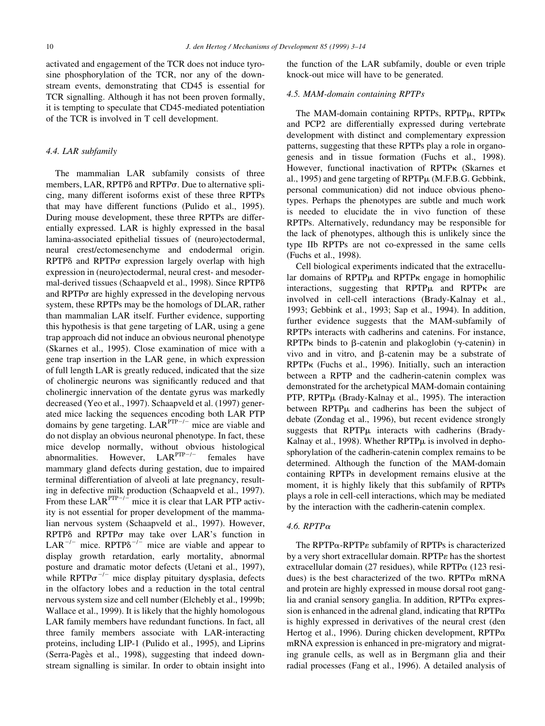activated and engagement of the TCR does not induce tyrosine phosphorylation of the TCR, nor any of the downstream events, demonstrating that CD45 is essential for TCR signalling. Although it has not been proven formally, it is tempting to speculate that CD45-mediated potentiation of the TCR is involved in T cell development.

## 4.4. LAR subfamily

The mammalian LAR subfamily consists of three members, LAR, RPTP $\delta$  and RPTP $\sigma$ . Due to alternative splicing, many different isoforms exist of these three RPTPs that may have different functions (Pulido et al., 1995). During mouse development, these three RPTPs are differentially expressed. LAR is highly expressed in the basal lamina-associated epithelial tissues of (neuro)ectodermal, neural crest/ectomesenchyme and endodermal origin.  $RPTP\delta$  and  $RPTP\sigma$  expression largely overlap with high expression in (neuro)ectodermal, neural crest- and mesodermal-derived tissues (Schaapveld et al., 1998). Since RPTP $\delta$ and  $RPTP\sigma$  are highly expressed in the developing nervous system, these RPTPs may be the homologs of DLAR, rather than mammalian LAR itself. Further evidence, supporting this hypothesis is that gene targeting of LAR, using a gene trap approach did not induce an obvious neuronal phenotype (Skarnes et al., 1995). Close examination of mice with a gene trap insertion in the LAR gene, in which expression of full length LAR is greatly reduced, indicated that the size of cholinergic neurons was significantly reduced and that cholinergic innervation of the dentate gyrus was markedly decreased (Yeo et al., 1997). Schaapveld et al. (1997) generated mice lacking the sequences encoding both LAR PTP domains by gene targeting.  $LAR^{PTP-/-}$  mice are viable and do not display an obvious neuronal phenotype. In fact, these mice develop normally, without obvious histological abnormalities. However,  $LAR^{PTP-/-}$  females have mammary gland defects during gestation, due to impaired terminal differentiation of alveoli at late pregnancy, resulting in defective milk production (Schaapveld et al., 1997). From these  $LAR^{PTP-/-}$  mice it is clear that LAR PTP activity is not essential for proper development of the mammalian nervous system (Schaapveld et al., 1997). However, RPTP<sub>o</sub> and RPTP<sub>o</sub> may take over LAR's function in LAR<sup>-/-</sup> mice. RPTP $\delta$ <sup>-/-</sup> mice are viable and appear to display growth retardation, early mortality, abnormal posture and dramatic motor defects (Uetani et al., 1997), while  $RPTP\sigma^{-/-}$  mice display pituitary dysplasia, defects in the olfactory lobes and a reduction in the total central nervous system size and cell number (Elchebly et al., 1999b; Wallace et al., 1999). It is likely that the highly homologous LAR family members have redundant functions. In fact, all three family members associate with LAR-interacting proteins, including LIP-1 (Pulido et al., 1995), and Liprins (Serra-Pagès et al., 1998), suggesting that indeed downstream signalling is similar. In order to obtain insight into the function of the LAR subfamily, double or even triple knock-out mice will have to be generated.

# 4.5. MAM-domain containing RPTPs

The MAM-domain containing RPTPs, RPTP $\mu$ , RPTP $\kappa$ and PCP2 are differentially expressed during vertebrate development with distinct and complementary expression patterns, suggesting that these RPTPs play a role in organogenesis and in tissue formation (Fuchs et al., 1998). However, functional inactivation of RPTPk (Skarnes et al., 1995) and gene targeting of RPTP $\mu$  (M.F.B.G. Gebbink, personal communication) did not induce obvious phenotypes. Perhaps the phenotypes are subtle and much work is needed to elucidate the in vivo function of these RPTPs. Alternatively, redundancy may be responsible for the lack of phenotypes, although this is unlikely since the type IIb RPTPs are not co-expressed in the same cells (Fuchs et al., 1998).

Cell biological experiments indicated that the extracellular domains of  $RPTP\mu$  and  $RPTP\kappa$  engage in homophilic interactions, suggesting that  $RPTP\mu$  and  $RPTP\kappa$  are involved in cell-cell interactions (Brady-Kalnay et al., 1993; Gebbink et al., 1993; Sap et al., 1994). In addition, further evidence suggests that the MAM-subfamily of RPTPs interacts with cadherins and catenins. For instance, RPTP<sub>K</sub> binds to  $\beta$ -catenin and plakoglobin ( $\gamma$ -catenin) in vivo and in vitro, and  $\beta$ -catenin may be a substrate of RPTPk (Fuchs et al., 1996). Initially, such an interaction between a RPTP and the cadherin-catenin complex was demonstrated for the archetypical MAM-domain containing PTP,  $RPTP\mu$  (Brady-Kalnay et al., 1995). The interaction between  $RPTP\mu$  and cadherins has been the subject of debate (Zondag et al., 1996), but recent evidence strongly suggests that  $RPTP\mu$  interacts with cadherins (Brady-Kalnay et al., 1998). Whether  $RPTP\mu$  is involved in dephosphorylation of the cadherin-catenin complex remains to be determined. Although the function of the MAM-domain containing RPTPs in development remains elusive at the moment, it is highly likely that this subfamily of RPTPs plays a role in cell-cell interactions, which may be mediated by the interaction with the cadherin-catenin complex.

## 4.6. RPTP<sup>a</sup>

The RPTP $\alpha$ -RPTP $\varepsilon$  subfamily of RPTPs is characterized by a very short extracellular domain. RPTP $\varepsilon$  has the shortest extracellular domain (27 residues), while  $RPTP\alpha$  (123 residues) is the best characterized of the two. RPTP $\alpha$  mRNA and protein are highly expressed in mouse dorsal root ganglia and cranial sensory ganglia. In addition,  $RPTP\alpha$  expression is enhanced in the adrenal gland, indicating that  $RPTP\alpha$ is highly expressed in derivatives of the neural crest (den Hertog et al., 1996). During chicken development, RPTP $\alpha$ mRNA expression is enhanced in pre-migratory and migrating granule cells, as well as in Bergmann glia and their radial processes (Fang et al., 1996). A detailed analysis of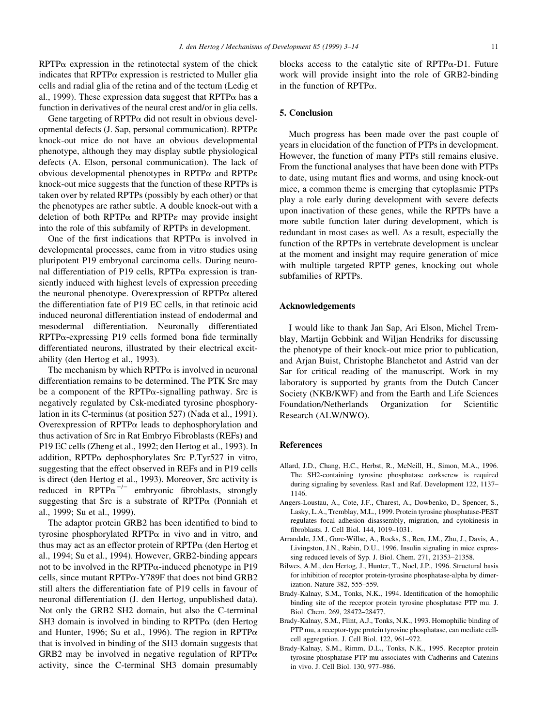$RPTP\alpha$  expression in the retinotectal system of the chick indicates that  $RPTP\alpha$  expression is restricted to Muller glia cells and radial glia of the retina and of the tectum (Ledig et al., 1999). These expression data suggest that  $RPTP\alpha$  has a function in derivatives of the neural crest and/or in glia cells.

Gene targeting of  $RPTP\alpha$  did not result in obvious developmental defects (J. Sap, personal communication). RPTP $\varepsilon$ knock-out mice do not have an obvious developmental phenotype, although they may display subtle physiological defects (A. Elson, personal communication). The lack of obvious developmental phenotypes in RPTP $\alpha$  and RPTP $\varepsilon$ knock-out mice suggests that the function of these RPTPs is taken over by related RPTPs (possibly by each other) or that the phenotypes are rather subtle. A double knock-out with a deletion of both RPTP $\alpha$  and RPTP $\epsilon$  may provide insight into the role of this subfamily of RPTPs in development.

One of the first indications that  $RPTP\alpha$  is involved in developmental processes, came from in vitro studies using pluripotent P19 embryonal carcinoma cells. During neuronal differentiation of P19 cells,  $RPTP\alpha$  expression is transiently induced with highest levels of expression preceding the neuronal phenotype. Overexpression of  $RPTP\alpha$  altered the differentiation fate of P19 EC cells, in that retinoic acid induced neuronal differentiation instead of endodermal and mesodermal differentiation. Neuronally differentiated  $RPTP\alpha$ -expressing P19 cells formed bona fide terminally differentiated neurons, illustrated by their electrical excitability (den Hertog et al., 1993).

The mechanism by which  $RPTP\alpha$  is involved in neuronal differentiation remains to be determined. The PTK Src may be a component of the RPTP $\alpha$ -signalling pathway. Src is negatively regulated by Csk-mediated tyrosine phosphorylation in its C-terminus (at position 527) (Nada et al., 1991). Overexpression of  $RPTP\alpha$  leads to dephosphorylation and thus activation of Src in Rat Embryo Fibroblasts (REFs) and P19 EC cells (Zheng et al., 1992; den Hertog et al., 1993). In addition, RPTP $\alpha$  dephosphorylates Src P.Tyr527 in vitro, suggesting that the effect observed in REFs and in P19 cells is direct (den Hertog et al., 1993). Moreover, Src activity is reduced in RPTP $\alpha^{-/-}$  embryonic fibroblasts, strongly suggesting that Src is a substrate of RPTP $\alpha$  (Ponniah et al., 1999; Su et al., 1999).

The adaptor protein GRB2 has been identified to bind to tyrosine phosphorylated RPTP $\alpha$  in vivo and in vitro, and thus may act as an effector protein of  $RPTP\alpha$  (den Hertog et al., 1994; Su et al., 1994). However, GRB2-binding appears not to be involved in the RPTP $\alpha$ -induced phenotype in P19 cells, since mutant  $RPTP\alpha$ -Y789F that does not bind GRB2 still alters the differentiation fate of P19 cells in favour of neuronal differentiation (J. den Hertog, unpublished data). Not only the GRB2 SH2 domain, but also the C-terminal SH3 domain is involved in binding to  $RPTP\alpha$  (den Hertog and Hunter, 1996; Su et al., 1996). The region in RPTP $\alpha$ that is involved in binding of the SH3 domain suggests that GRB2 may be involved in negative regulation of  $RPTP\alpha$ activity, since the C-terminal SH3 domain presumably

blocks access to the catalytic site of  $RPTP\alpha-D1$ . Future work will provide insight into the role of GRB2-binding in the function of RPTP $\alpha$ .

## 5. Conclusion

Much progress has been made over the past couple of years in elucidation of the function of PTPs in development. However, the function of many PTPs still remains elusive. From the functional analyses that have been done with PTPs to date, using mutant flies and worms, and using knock-out mice, a common theme is emerging that cytoplasmic PTPs play a role early during development with severe defects upon inactivation of these genes, while the RPTPs have a more subtle function later during development, which is redundant in most cases as well. As a result, especially the function of the RPTPs in vertebrate development is unclear at the moment and insight may require generation of mice with multiple targeted RPTP genes, knocking out whole subfamilies of RPTPs.

#### Acknowledgements

I would like to thank Jan Sap, Ari Elson, Michel Tremblay, Martijn Gebbink and Wiljan Hendriks for discussing the phenotype of their knock-out mice prior to publication, and Arjan Buist, Christophe Blanchetot and Astrid van der Sar for critical reading of the manuscript. Work in my laboratory is supported by grants from the Dutch Cancer Society (NKB/KWF) and from the Earth and Life Sciences Foundation/Netherlands Organization for Scientific Research (ALW/NWO).

#### References

- Allard, J.D., Chang, H.C., Herbst, R., McNeill, H., Simon, M.A., 1996. The SH2-containing tyrosine phosphatase corkscrew is required during signaling by sevenless. Ras1 and Raf. Development 122, 1137-1146.
- Angers-Loustau, A., Cote, J.F., Charest, A., Dowbenko, D., Spencer, S., Lasky, L.A., Tremblay, M.L., 1999. Protein tyrosine phosphatase-PEST regulates focal adhesion disassembly, migration, and cytokinesis in fibroblasts. J. Cell Biol. 144, 1019-1031.
- Arrandale, J.M., Gore-Willse, A., Rocks, S., Ren, J.M., Zhu, J., Davis, A., Livingston, J.N., Rabin, D.U., 1996. Insulin signaling in mice expressing reduced levels of Syp. J. Biol. Chem. 271, 21353-21358.
- Bilwes, A.M., den Hertog, J., Hunter, T., Noel, J.P., 1996. Structural basis for inhibition of receptor protein-tyrosine phosphatase-alpha by dimerization. Nature 382, 555-559.
- Brady-Kalnay, S.M., Tonks, N.K., 1994. Identification of the homophilic binding site of the receptor protein tyrosine phosphatase PTP mu. J. Biol. Chem. 269, 28472-28477.
- Brady-Kalnay, S.M., Flint, A.J., Tonks, N.K., 1993. Homophilic binding of PTP mu, a receptor-type protein tyrosine phosphatase, can mediate cellcell aggregation. J. Cell Biol. 122, 961-972.
- Brady-Kalnay, S.M., Rimm, D.L., Tonks, N.K., 1995. Receptor protein tyrosine phosphatase PTP mu associates with Cadherins and Catenins in vivo. J. Cell Biol. 130, 977-986.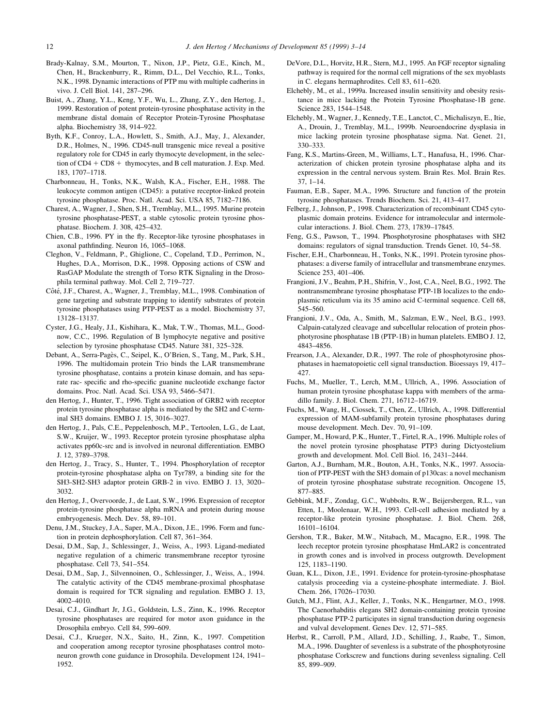- Brady-Kalnay, S.M., Mourton, T., Nixon, J.P., Pietz, G.E., Kinch, M., Chen, H., Brackenburry, R., Rimm, D.L., Del Vecchio, R.L., Tonks, N.K., 1998. Dynamic interactions of PTP mu with multiple cadherins in vivo. J. Cell Biol. 141, 287-296.
- Buist, A., Zhang, Y.L., Keng, Y.F., Wu, L., Zhang, Z.Y., den Hertog, J., 1999. Restoration of potent protein-tyrosine phosphatase activity in the membrane distal domain of Receptor Protein-Tyrosine Phosphatase alpha. Biochemistry 38, 914-922.
- Byth, K.F., Conroy, L.A., Howlett, S., Smith, A.J., May, J., Alexander, D.R., Holmes, N., 1996. CD45-null transgenic mice reveal a positive regulatory role for CD45 in early thymocyte development, in the selection of  $CD4 + CD8 +$  thymocytes, and B cell maturation. J. Exp. Med. 183, 1707±1718.
- Charbonneau, H., Tonks, N.K., Walsh, K.A., Fischer, E.H., 1988. The leukocyte common antigen (CD45): a putative receptor-linked protein tyrosine phosphatase. Proc. Natl. Acad. Sci. USA 85, 7182-7186.
- Charest, A., Wagner, J., Shen, S.H., Tremblay, M.L., 1995. Murine protein tyrosine phosphatase-PEST, a stable cytosolic protein tyrosine phosphatase. Biochem. J. 308, 425-432.
- Chien, C.B., 1996. PY in the fly. Receptor-like tyrosine phosphatases in axonal pathfinding. Neuron 16, 1065-1068.
- Cleghon, V., Feldmann, P., Ghiglione, C., Copeland, T.D., Perrimon, N., Hughes, D.A., Morrison, D.K., 1998. Opposing actions of CSW and RasGAP Modulate the strength of Torso RTK Signaling in the Drosophila terminal pathway. Mol. Cell 2, 719-727.
- Côté, J.F., Charest, A., Wagner, J., Tremblay, M.L., 1998. Combination of gene targeting and substrate trapping to identify substrates of protein tyrosine phosphatases using PTP-PEST as a model. Biochemistry 37, 13128±13137.
- Cyster, J.G., Healy, J.I., Kishihara, K., Mak, T.W., Thomas, M.L., Goodnow, C.C., 1996. Regulation of B lymphocyte negative and positive selection by tyrosine phosphatase CD45. Nature 381, 325-328.
- Debant, A., Serra-Pagès, C., Seipel, K., O'Brien, S., Tang, M., Park, S.H., 1996. The multidomain protein Trio binds the LAR transmembrane tyrosine phosphatase, contains a protein kinase domain, and has separate rac- specific and rho-specific guanine nucleotide exchange factor domains. Proc. Natl. Acad. Sci. USA 93, 5466-5471.
- den Hertog, J., Hunter, T., 1996. Tight association of GRB2 with receptor protein tyrosine phosphatase alpha is mediated by the SH2 and C-terminal SH3 domains. EMBO J. 15, 3016-3027.
- den Hertog, J., Pals, C.E., Peppelenbosch, M.P., Tertoolen, L.G., de Laat, S.W., Kruijer, W., 1993. Receptor protein tyrosine phosphatase alpha activates pp60c-src and is involved in neuronal differentiation. EMBO J. 12, 3789-3798.
- den Hertog, J., Tracy, S., Hunter, T., 1994. Phosphorylation of receptor protein-tyrosine phosphatase alpha on Tyr789, a binding site for the SH3-SH2-SH3 adaptor protein GRB-2 in vivo. EMBO J. 13, 3020-3032.
- den Hertog, J., Overvoorde, J., de Laat, S.W., 1996. Expression of receptor protein-tyrosine phosphatase alpha mRNA and protein during mouse embryogenesis. Mech. Dev. 58, 89-101.
- Denu, J.M., Stuckey, J.A., Saper, M.A., Dixon, J.E., 1996. Form and function in protein dephosphorylation. Cell 87, 361-364.
- Desai, D.M., Sap, J., Schlessinger, J., Weiss, A., 1993. Ligand-mediated negative regulation of a chimeric transmembrane receptor tyrosine phosphatase. Cell 73, 541-554.
- Desai, D.M., Sap, J., Silvennoinen, O., Schlessinger, J., Weiss, A., 1994. The catalytic activity of the CD45 membrane-proximal phosphatase domain is required for TCR signaling and regulation. EMBO J. 13, 4002±4010.
- Desai, C.J., Gindhart Jr, J.G., Goldstein, L.S., Zinn, K., 1996. Receptor tyrosine phosphatases are required for motor axon guidance in the Drosophila embryo. Cell 84, 599-609.
- Desai, C.J., Krueger, N.X., Saito, H., Zinn, K., 1997. Competition and cooperation among receptor tyrosine phosphatases control motoneuron growth cone guidance in Drosophila. Development 124, 1941– 1952.
- DeVore, D.L., Horvitz, H.R., Stern, M.J., 1995. An FGF receptor signaling pathway is required for the normal cell migrations of the sex myoblasts in C. elegans hermaphrodites. Cell 83, 611-620.
- Elchebly, M., et al., 1999a. Increased insulin sensitivity and obesity resistance in mice lacking the Protein Tyrosine Phosphatase-1B gene. Science 283, 1544-1548.
- Elchebly, M., Wagner, J., Kennedy, T.E., Lanctot, C., Michaliszyn, E., Itie, A., Drouin, J., Tremblay, M.L., 1999b. Neuroendocrine dysplasia in mice lacking protein tyrosine phosphatase sigma. Nat. Genet. 21, 330±333.
- Fang, K.S., Martins-Green, M., Williams, L.T., Hanafusa, H., 1996. Characterization of chicken protein tyrosine phosphatase alpha and its expression in the central nervous system. Brain Res. Mol. Brain Res.  $37, 1-14.$
- Fauman, E.B., Saper, M.A., 1996. Structure and function of the protein tyrosine phosphatases. Trends Biochem. Sci. 21, 413-417.
- Felberg, J., Johnson, P., 1998. Characterization of recombinant CD45 cytoplasmic domain proteins. Evidence for intramolecular and intermolecular interactions. J. Biol. Chem. 273, 17839-17845.
- Feng, G.S., Pawson, T., 1994. Phosphotyrosine phosphatases with SH2 domains: regulators of signal transduction. Trends Genet. 10, 54-58.
- Fischer, E.H., Charbonneau, H., Tonks, N.K., 1991. Protein tyrosine phosphatases: a diverse family of intracellular and transmembrane enzymes. Science 253, 401-406.
- Frangioni, J.V., Beahm, P.H., Shifrin, V., Jost, C.A., Neel, B.G., 1992. The nontransmembrane tyrosine phosphatase PTP-1B localizes to the endoplasmic reticulum via its 35 amino acid C-terminal sequence. Cell 68, 545-560.
- Frangioni, J.V., Oda, A., Smith, M., Salzman, E.W., Neel, B.G., 1993. Calpain-catalyzed cleavage and subcellular relocation of protein phosphotyrosine phosphatase 1B (PTP-1B) in human platelets. EMBO J. 12, 4843±4856.
- Frearson, J.A., Alexander, D.R., 1997. The role of phosphotyrosine phosphatases in haematopoietic cell signal transduction. Bioessays 19, 417-427.
- Fuchs, M., Mueller, T., Lerch, M.M., Ullrich, A., 1996. Association of human protein tyrosine phosphatase kappa with members of the armadillo family. J. Biol. Chem. 271, 16712-16719.
- Fuchs, M., Wang, H., Ciossek, T., Chen, Z., Ullrich, A., 1998. Differential expression of MAM-subfamily protein tyrosine phosphatases during mouse development. Mech. Dev. 70, 91-109.
- Gamper, M., Howard, P.K., Hunter, T., Firtel, R.A., 1996. Multiple roles of the novel protein tyrosine phosphatase PTP3 during Dictyostelium growth and development. Mol. Cell Biol. 16, 2431-2444.
- Garton, A.J., Burnham, M.R., Bouton, A.H., Tonks, N.K., 1997. Association of PTP-PEST with the SH3 domain of p130cas: a novel mechanism of protein tyrosine phosphatase substrate recognition. Oncogene 15, 877±885.
- Gebbink, M.F., Zondag, G.C., Wubbolts, R.W., Beijersbergen, R.L., van Etten, I., Moolenaar, W.H., 1993. Cell-cell adhesion mediated by a receptor-like protein tyrosine phosphatase. J. Biol. Chem. 268, 16101±16104.
- Gershon, T.R., Baker, M.W., Nitabach, M., Macagno, E.R., 1998. The leech receptor protein tyrosine phosphatase HmLAR2 is concentrated in growth cones and is involved in process outgrowth. Development 125, 1183±1190.
- Guan, K.L., Dixon, J.E., 1991. Evidence for protein-tyrosine-phosphatase catalysis proceeding via a cysteine-phosphate intermediate. J. Biol. Chem. 266, 17026-17030.
- Gutch, M.J., Flint, A.J., Keller, J., Tonks, N.K., Hengartner, M.O., 1998. The Caenorhabditis elegans SH2 domain-containing protein tyrosine phosphatase PTP-2 participates in signal transduction during oogenesis and vulval development. Genes Dev. 12, 571-585.
- Herbst, R., Carroll, P.M., Allard, J.D., Schilling, J., Raabe, T., Simon, M.A., 1996. Daughter of sevenless is a substrate of the phosphotyrosine phosphatase Corkscrew and functions during sevenless signaling. Cell 85, 899-909.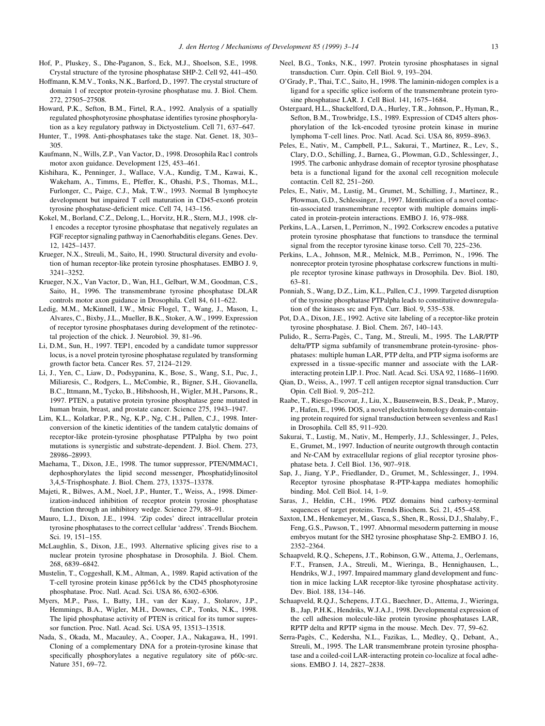- Hof, P., Pluskey, S., Dhe-Paganon, S., Eck, M.J., Shoelson, S.E., 1998. Crystal structure of the tyrosine phosphatase SHP-2. Cell 92, 441-450.
- Hoffmann, K.M.V., Tonks, N.K., Barford, D., 1997. The crystal structure of domain 1 of receptor protein-tyrosine phosphatase mu. J. Biol. Chem. 272, 27505±27508.
- Howard, P.K., Sefton, B.M., Firtel, R.A., 1992. Analysis of a spatially regulated phosphotyrosine phosphatase identifies tyrosine phosphorylation as a key regulatory pathway in Dictyostelium. Cell 71, 637-647.
- Hunter, T., 1998. Anti-phosphatases take the stage. Nat. Genet. 18, 303-305.
- Kaufmann, N., Wills, Z.P., Van Vactor, D., 1998. Drosophila Rac1 controls motor axon guidance. Development 125, 453-461.
- Kishihara, K., Penninger, J., Wallace, V.A., Kundig, T.M., Kawai, K., Wakeham, A., Timms, E., Pfeffer, K., Ohashi, P.S., Thomas, M.L., Furlonger, C., Paige, C.J., Mak, T.W., 1993. Normal B lymphocyte development but impaired T cell maturation in CD45-exon6 protein tyrosine phosphatase-deficient mice. Cell 74, 143-156.
- Kokel, M., Borland, C.Z., Delong, L., Horvitz, H.R., Stern, M.J., 1998. clr-1 encodes a receptor tyrosine phosphatase that negatively regulates an FGF receptor signaling pathway in Caenorhabditis elegans. Genes. Dev. 12, 1425±1437.
- Krueger, N.X., Streuli, M., Saito, H., 1990. Structural diversity and evolution of human receptor-like protein tyrosine phosphatases. EMBO J. 9, 3241±3252.
- Krueger, N.X., Van Vactor, D., Wan, H.I., Gelbart, W.M., Goodman, C.S., Saito, H., 1996. The transmembrane tyrosine phosphatase DLAR controls motor axon guidance in Drosophila. Cell 84, 611-622.
- Ledig, M.M., McKinnell, I.W., Mrsic Flogel, T., Wang, J., Mason, I., Alvares, C., Bixby, J.L., Mueller, B.K., Stoker, A.W., 1999. Expression of receptor tyrosine phosphatases during development of the retinotectal projection of the chick. J. Neurobiol.  $39, 81-96$ .
- Li, D.M., Sun, H., 1997. TEP1, encoded by a candidate tumor suppressor locus, is a novel protein tyrosine phosphatase regulated by transforming growth factor beta. Cancer Res. 57, 2124-2129.
- Li, J., Yen, C., Liaw, D., Podsypanina, K., Bose, S., Wang, S.I., Puc, J., Miliaresis, C., Rodgers, L., McCombie, R., Bigner, S.H., Giovanella, B.C., Ittmann, M., Tycko, B., Hibshoosh, H., Wigler, M.H., Parsons, R., 1997. PTEN, a putative protein tyrosine phosphatase gene mutated in human brain, breast, and prostate cancer. Science 275, 1943-1947.
- Lim, K.L., Kolatkar, P.R., Ng, K.P., Ng, C.H., Pallen, C.J., 1998. Interconversion of the kinetic identities of the tandem catalytic domains of receptor-like protein-tyrosine phosphatase PTPalpha by two point mutations is synergistic and substrate-dependent. J. Biol. Chem. 273, 28986±28993.
- Maehama, T., Dixon, J.E., 1998. The tumor suppressor, PTEN/MMAC1, dephosphorylates the lipid second messenger, Phosphatidylinositol 3,4,5-Trisphosphate. J. Biol. Chem. 273, 13375-13378.
- Majeti, R., Bilwes, A.M., Noel, J.P., Hunter, T., Weiss, A., 1998. Dimerization-induced inhibition of receptor protein tyrosine phosphatase function through an inhibitory wedge. Science 279, 88-91.
- Mauro, L.J., Dixon, J.E., 1994. `Zip codes' direct intracellular protein tyrosine phosphatases to the correct cellular `address'. Trends Biochem. Sci. 19, 151-155.
- McLaughlin, S., Dixon, J.E., 1993. Alternative splicing gives rise to a nuclear protein tyrosine phosphatase in Drosophila. J. Biol. Chem. 268, 6839±6842.
- Mustelin, T., Coggeshall, K.M., Altman, A., 1989. Rapid activation of the T-cell tyrosine protein kinase pp561ck by the CD45 phosphotyrosine phosphatase. Proc. Natl. Acad. Sci. USA 86, 6302-6306.
- Myers, M.P., Pass, I., Batty, I.H., van der Kaay, J., Stolarov, J.P., Hemmings, B.A., Wigler, M.H., Downes, C.P., Tonks, N.K., 1998. The lipid phosphatase activity of PTEN is critical for its tumor supressor function. Proc. Natl. Acad. Sci. USA 95, 13513-13518.
- Nada, S., Okada, M., Macauley, A., Cooper, J.A., Nakagawa, H., 1991. Cloning of a complementary DNA for a protein-tyrosine kinase that specifically phosphorylates a negative regulatory site of p60c-src. Nature 351, 69-72.
- Neel, B.G., Tonks, N.K., 1997. Protein tyrosine phosphatases in signal transduction. Curr. Opin. Cell Biol. 9, 193-204.
- O'Grady, P., Thai, T.C., Saito, H., 1998. The laminin-nidogen complex is a ligand for a specific splice isoform of the transmembrane protein tyrosine phosphatase LAR. J. Cell Biol. 141, 1675-1684.
- Ostergaard, H.L., Shackelford, D.A., Hurley, T.R., Johnson, P., Hyman, R., Sefton, B.M., Trowbridge, I.S., 1989. Expression of CD45 alters phosphorylation of the Ick-encoded tyrosine protein kinase in murine lymphoma T-cell lines. Proc. Natl. Acad. Sci. USA 86, 8959-8963.
- Peles, E., Nativ, M., Campbell, P.L., Sakurai, T., Martinez, R., Lev, S., Clary, D.O., Schilling, J., Barnea, G., Plowman, G.D., Schlessinger, J., 1995. The carbonic anhydrase domain of receptor tyrosine phosphatase beta is a functional ligand for the axonal cell recognition molecule contactin. Cell 82, 251-260.
- Peles, E., Nativ, M., Lustig, M., Grumet, M., Schilling, J., Martinez, R., Plowman, G.D., Schlessinger, J., 1997. Identification of a novel contactin-associated transmembrane receptor with multiple domains implicated in protein-protein interactions. EMBO J. 16, 978-988.
- Perkins, L.A., Larsen, I., Perrimon, N., 1992. Corkscrew encodes a putative protein tyrosine phosphatase that functions to transduce the terminal signal from the receptor tyrosine kinase torso. Cell 70, 225-236.
- Perkins, L.A., Johnson, M.R., Melnick, M.B., Perrimon, N., 1996. The nonreceptor protein tyrosine phosphatase corkscrew functions in multiple receptor tyrosine kinase pathways in Drosophila. Dev. Biol. 180, 63±81.
- Ponniah, S., Wang, D.Z., Lim, K.L., Pallen, C.J., 1999. Targeted disruption of the tyrosine phosphatase PTPalpha leads to constitutive downregulation of the kinases src and Fyn. Curr. Biol. 9, 535-538.
- Pot, D.A., Dixon, J.E., 1992. Active site labeling of a receptor-like protein tyrosine phosphatase. J. Biol. Chem. 267, 140-143.
- Pulido, R., Serra-Pagès, C., Tang, M., Streuli, M., 1995. The LAR/PTP delta/PTP sigma subfamily of transmembrane protein-tyrosine- phosphatases: multiple human LAR, PTP delta, and PTP sigma isoforms are expressed in a tissue-specific manner and associate with the LARinteracting protein LIP.1. Proc. Natl. Acad. Sci. USA 92, 11686-11690.
- Qian, D., Weiss, A., 1997. T cell antigen receptor signal transduction. Curr Opin. Cell Biol. 9, 205-212.
- Raabe, T., Riesgo-Escovar, J., Liu, X., Bausenwein, B.S., Deak, P., Maroy, P., Hafen, E., 1996. DOS, a novel pleckstrin homology domain-containing protein required for signal transduction between sevenless and Ras1 in Drosophila. Cell 85, 911-920.
- Sakurai, T., Lustig, M., Nativ, M., Hemperly, J.J., Schlessinger, J., Peles, E., Grumet, M., 1997. Induction of neurite outgrowth through contactin and Nr-CAM by extracellular regions of glial receptor tyrosine phosphatase beta. J. Cell Biol. 136, 907-918.
- Sap, J., Jiang, Y.P., Friedlander, D., Grumet, M., Schlessinger, J., 1994. Receptor tyrosine phosphatase R-PTP-kappa mediates homophilic binding. Mol. Cell Biol. 14, 1-9.
- Saras, J., Heldin, C.H., 1996. PDZ domains bind carboxy-terminal sequences of target proteins. Trends Biochem. Sci. 21, 455-458.
- Saxton, I.M., Henkemeyer, M., Gasca, S., Shen, R., Rossi, D.J., Shalaby, F., Feng, G.S., Pawson, T., 1997. Abnormal mesoderm patterning in mouse embryos mutant for the SH2 tyrosine phosphatase Shp-2. EMBO J. 16, 2352±2364.
- Schaapveld, R.Q., Schepens, J.T., Robinson, G.W., Attema, J., Oerlemans, F.T., Fransen, J.A., Streuli, M., Wieringa, B., Hennighausen, L., Hendriks, W.J., 1997. Impaired mammary gland development and function in mice lacking LAR receptor-like tyrosine phosphatase activity. Dev. Biol. 188, 134-146.
- Schaapveld, R.Q.J., Schepens, J.T.G., Baechner, D., Attema, J., Wieringa, B., Jap, P.H.K., Hendriks, W.J.A.J., 1998. Developmental expression of the cell adhesion molecule-like protein tyrosine phosphatases LAR, RPTP delta and RPTP sigma in the mouse. Mech. Dev. 77, 59-62.
- Serra-Pagès, C., Kedersha, N.L., Fazikas, L., Medley, Q., Debant, A., Streuli, M., 1995. The LAR transmembrane protein tyrosine phosphatase and a coiled-coil LAR-interacting protein co-localize at focal adhesions. EMBO J. 14, 2827-2838.